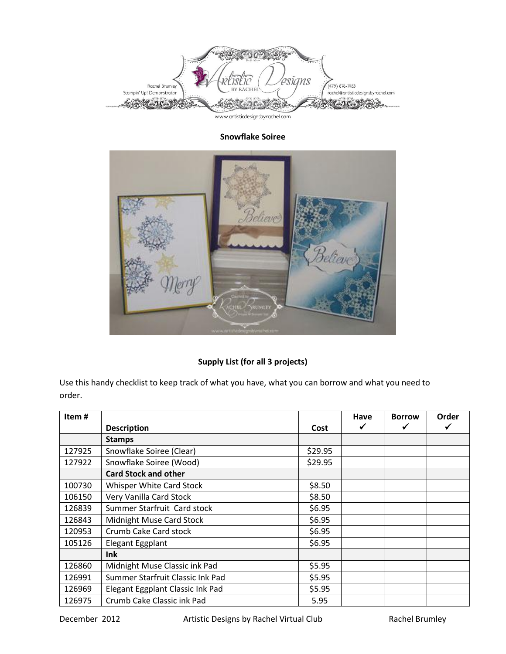

## **Snowflake Soiree**



## **Supply List (for all 3 projects)**

Use this handy checklist to keep track of what you have, what you can borrow and what you need to order.

| Item#  |                                  |         | Have | <b>Borrow</b> | Order |
|--------|----------------------------------|---------|------|---------------|-------|
|        | <b>Description</b>               | Cost    |      |               |       |
|        | <b>Stamps</b>                    |         |      |               |       |
| 127925 | Snowflake Soiree (Clear)         | \$29.95 |      |               |       |
| 127922 | Snowflake Soiree (Wood)          | \$29.95 |      |               |       |
|        | <b>Card Stock and other</b>      |         |      |               |       |
| 100730 | Whisper White Card Stock         | \$8.50  |      |               |       |
| 106150 | Very Vanilla Card Stock          | \$8.50  |      |               |       |
| 126839 | Summer Starfruit Card stock      | \$6.95  |      |               |       |
| 126843 | Midnight Muse Card Stock         | \$6.95  |      |               |       |
| 120953 | Crumb Cake Card stock            | \$6.95  |      |               |       |
| 105126 | Elegant Eggplant                 | \$6.95  |      |               |       |
|        | <b>Ink</b>                       |         |      |               |       |
| 126860 | Midnight Muse Classic ink Pad    | \$5.95  |      |               |       |
| 126991 | Summer Starfruit Classic Ink Pad | \$5.95  |      |               |       |
| 126969 | Elegant Eggplant Classic Ink Pad | \$5.95  |      |               |       |
| 126975 | Crumb Cake Classic ink Pad       | 5.95    |      |               |       |